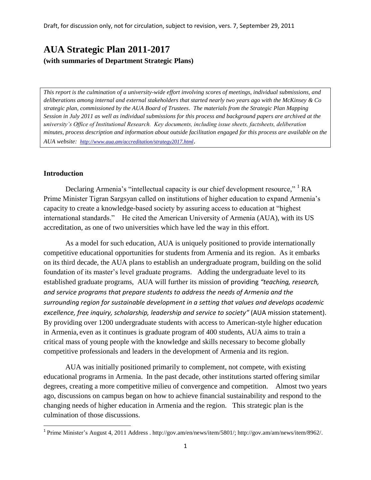# **AUA Strategic Plan 2011-2017 (with summaries of Department Strategic Plans)**

*This report is the culmination of a university-wide effort involving scores of meetings, individual submissions, and deliberations among internal and external stakeholders that started nearly two years ago with the McKinsey & Co strategic plan, commissioned by the AUA Board of Trustees. The materials from the Strategic Plan Mapping Session in July 2011 as well as individual submissions for this process and background papers are archived at the university's Office of Institutional Research. Key documents, including issue sheets, factsheets, deliberation minutes, process description and information about outside facilitation engaged for this process are available on the AUA website: <http://www.aua.am/accreditation/strategy2017.html>*.

#### **Introduction**

 $\overline{\phantom{a}}$ 

Declaring Armenia's "intellectual capacity is our chief development resource," <sup>1</sup> RA Prime Minister Tigran Sargsyan called on institutions of higher education to expand Armenia's capacity to create a knowledge-based society by assuring access to education at "highest international standards." He cited the American University of Armenia (AUA), with its US accreditation, as one of two universities which have led the way in this effort.

As a model for such education, AUA is uniquely positioned to provide internationally competitive educational opportunities for students from Armenia and its region. As it embarks on its third decade, the AUA plans to establish an undergraduate program, building on the solid foundation of its master's level graduate programs. Adding the undergraduate level to its established graduate programs, AUA will further its mission of providing *"teaching, research, and service programs that prepare students to address the needs of Armenia and the surrounding region for sustainable development in a setting that values and develops academic excellence, free inquiry, scholarship, leadership and service to society"* (AUA mission statement). By providing over 1200 undergraduate students with access to American-style higher education in Armenia, even as it continues is graduate program of 400 students, AUA aims to train a critical mass of young people with the knowledge and skills necessary to become globally competitive professionals and leaders in the development of Armenia and its region.

AUA was initially positioned primarily to complement, not compete, with existing educational programs in Armenia. In the past decade, other institutions started offering similar degrees, creating a more competitive milieu of convergence and competition. Almost two years ago, discussions on campus began on how to achieve financial sustainability and respond to the changing needs of higher education in Armenia and the region. This strategic plan is the culmination of those discussions.

<sup>&</sup>lt;sup>1</sup> Prime Minister's August 4, 2011 Address [. http://gov.am/en/news/item/5801/;](http://gov.am/en/news/item/5801/) [http://gov.am/am/news/item/8962/.](http://gov.am/am/news/item/8962/)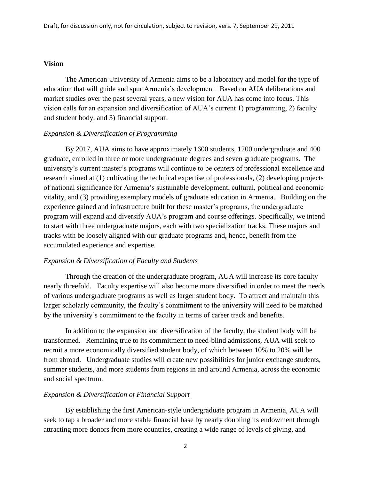#### **Vision**

The American University of Armenia aims to be a laboratory and model for the type of education that will guide and spur Armenia's development. Based on AUA deliberations and market studies over the past several years, a new vision for AUA has come into focus. This vision calls for an expansion and diversification of AUA's current 1) programming, 2) faculty and student body, and 3) financial support.

#### *Expansion & Diversification of Programming*

By 2017, AUA aims to have approximately 1600 students, 1200 undergraduate and 400 graduate, enrolled in three or more undergraduate degrees and seven graduate programs. The university's current master's programs will continue to be centers of professional excellence and research aimed at (1) cultivating the technical expertise of professionals, (2) developing projects of national significance for Armenia's sustainable development, cultural, political and economic vitality, and (3) providing exemplary models of graduate education in Armenia. Building on the experience gained and infrastructure built for these master's programs, the undergraduate program will expand and diversify AUA's program and course offerings. Specifically, we intend to start with three undergraduate majors, each with two specialization tracks. These majors and tracks with be loosely aligned with our graduate programs and, hence, benefit from the accumulated experience and expertise.

#### *Expansion & Diversification of Faculty and Students*

Through the creation of the undergraduate program, AUA will increase its core faculty nearly threefold. Faculty expertise will also become more diversified in order to meet the needs of various undergraduate programs as well as larger student body. To attract and maintain this larger scholarly community, the faculty's commitment to the university will need to be matched by the university's commitment to the faculty in terms of career track and benefits.

In addition to the expansion and diversification of the faculty, the student body will be transformed. Remaining true to its commitment to need-blind admissions, AUA will seek to recruit a more economically diversified student body, of which between 10% to 20% will be from abroad. Undergraduate studies will create new possibilities for junior exchange students, summer students, and more students from regions in and around Armenia, across the economic and social spectrum.

#### *Expansion & Diversification of Financial Support*

By establishing the first American-style undergraduate program in Armenia, AUA will seek to tap a broader and more stable financial base by nearly doubling its endowment through attracting more donors from more countries, creating a wide range of levels of giving, and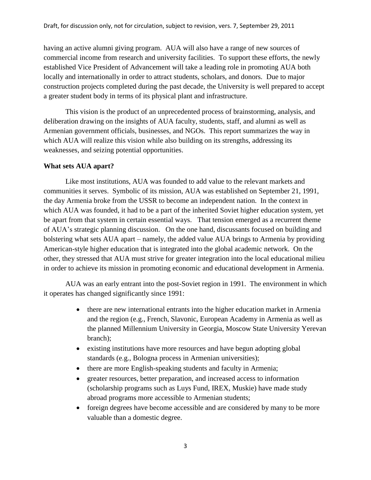having an active alumni giving program. AUA will also have a range of new sources of commercial income from research and university facilities. To support these efforts, the newly established Vice President of Advancement will take a leading role in promoting AUA both locally and internationally in order to attract students, scholars, and donors. Due to major construction projects completed during the past decade, the University is well prepared to accept a greater student body in terms of its physical plant and infrastructure.

This vision is the product of an unprecedented process of brainstorming, analysis, and deliberation drawing on the insights of AUA faculty, students, staff, and alumni as well as Armenian government officials, businesses, and NGOs. This report summarizes the way in which AUA will realize this vision while also building on its strengths, addressing its weaknesses, and seizing potential opportunities.

#### **What sets AUA apart?**

Like most institutions, AUA was founded to add value to the relevant markets and communities it serves. Symbolic of its mission, AUA was established on September 21, 1991, the day Armenia broke from the USSR to become an independent nation. In the context in which AUA was founded, it had to be a part of the inherited Soviet higher education system, yet be apart from that system in certain essential ways. That tension emerged as a recurrent theme of AUA's strategic planning discussion. On the one hand, discussants focused on building and bolstering what sets AUA apart – namely, the added value AUA brings to Armenia by providing American-style higher education that is integrated into the global academic network. On the other, they stressed that AUA must strive for greater integration into the local educational milieu in order to achieve its mission in promoting economic and educational development in Armenia.

AUA was an early entrant into the post-Soviet region in 1991. The environment in which it operates has changed significantly since 1991:

- there are new international entrants into the higher education market in Armenia and the region (e.g., French, Slavonic, European Academy in Armenia as well as the planned Millennium University in Georgia, Moscow State University Yerevan branch);
- existing institutions have more resources and have begun adopting global standards (e.g., Bologna process in Armenian universities);
- there are more English-speaking students and faculty in Armenia;
- greater resources, better preparation, and increased access to information (scholarship programs such as Luys Fund, IREX, Muskie) have made study abroad programs more accessible to Armenian students;
- foreign degrees have become accessible and are considered by many to be more valuable than a domestic degree.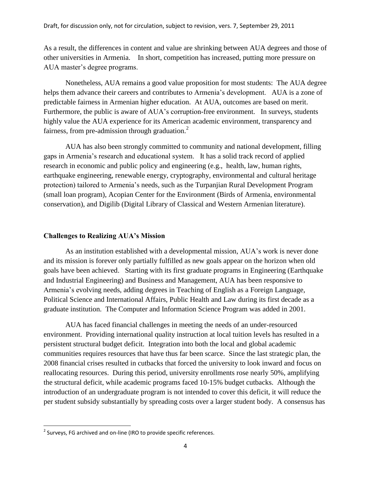As a result, the differences in content and value are shrinking between AUA degrees and those of other universities in Armenia. In short, competition has increased, putting more pressure on AUA master's degree programs.

Nonetheless, AUA remains a good value proposition for most students: The AUA degree helps them advance their careers and contributes to Armenia's development. AUA is a zone of predictable fairness in Armenian higher education. At AUA, outcomes are based on merit. Furthermore, the public is aware of AUA's corruption-free environment. In surveys, students highly value the AUA experience for its American academic environment, transparency and fairness, from pre-admission through graduation. $2$ 

AUA has also been strongly committed to community and national development, filling gaps in Armenia's research and educational system. It has a solid track record of applied research in economic and public policy and engineering (e.g., health, law, human rights, earthquake engineering, renewable energy, cryptography, environmental and cultural heritage protection) tailored to Armenia's needs, such as the Turpanjian Rural Development Program (small loan program), Acopian Center for the Environment (Birds of Armenia, environmental conservation), and Digilib (Digital Library of Classical and Western Armenian literature).

#### **Challenges to Realizing AUA's Mission**

As an institution established with a developmental mission, AUA's work is never done and its mission is forever only partially fulfilled as new goals appear on the horizon when old goals have been achieved. Starting with its first graduate programs in Engineering (Earthquake and Industrial Engineering) and Business and Management, AUA has been responsive to Armenia's evolving needs, adding degrees in Teaching of English as a Foreign Language, Political Science and International Affairs, Public Health and Law during its first decade as a graduate institution. The Computer and Information Science Program was added in 2001.

AUA has faced financial challenges in meeting the needs of an under-resourced environment. Providing international quality instruction at local tuition levels has resulted in a persistent structural budget deficit. Integration into both the local and global academic communities requires resources that have thus far been scarce. Since the last strategic plan, the 2008 financial crises resulted in cutbacks that forced the university to look inward and focus on reallocating resources. During this period, university enrollments rose nearly 50%, amplifying the structural deficit, while academic programs faced 10-15% budget cutbacks. Although the introduction of an undergraduate program is not intended to cover this deficit, it will reduce the per student subsidy substantially by spreading costs over a larger student body. A consensus has

 $\overline{\phantom{a}}$  $2$  Surveys, FG archived and on-line (IRO to provide specific references.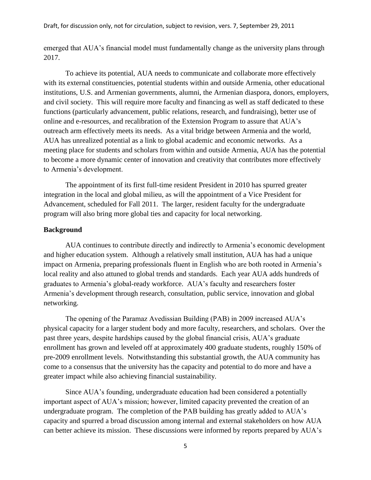emerged that AUA's financial model must fundamentally change as the university plans through 2017.

To achieve its potential, AUA needs to communicate and collaborate more effectively with its external constituencies, potential students within and outside Armenia, other educational institutions, U.S. and Armenian governments, alumni, the Armenian diaspora, donors, employers, and civil society. This will require more faculty and financing as well as staff dedicated to these functions (particularly advancement, public relations, research, and fundraising), better use of online and e-resources, and recalibration of the Extension Program to assure that AUA's outreach arm effectively meets its needs. As a vital bridge between Armenia and the world, AUA has unrealized potential as a link to global academic and economic networks. As a meeting place for students and scholars from within and outside Armenia, AUA has the potential to become a more dynamic center of innovation and creativity that contributes more effectively to Armenia's development.

The appointment of its first full-time resident President in 2010 has spurred greater integration in the local and global milieu, as will the appointment of a Vice President for Advancement, scheduled for Fall 2011. The larger, resident faculty for the undergraduate program will also bring more global ties and capacity for local networking.

#### **Background**

AUA continues to contribute directly and indirectly to Armenia's economic development and higher education system. Although a relatively small institution, AUA has had a unique impact on Armenia, preparing professionals fluent in English who are both rooted in Armenia's local reality and also attuned to global trends and standards. Each year AUA adds hundreds of graduates to Armenia's global-ready workforce. AUA's faculty and researchers foster Armenia's development through research, consultation, public service, innovation and global networking.

The opening of the Paramaz Avedissian Building (PAB) in 2009 increased AUA's physical capacity for a larger student body and more faculty, researchers, and scholars. Over the past three years, despite hardships caused by the global financial crisis, AUA's graduate enrollment has grown and leveled off at approximately 400 graduate students, roughly 150% of pre-2009 enrollment levels. Notwithstanding this substantial growth, the AUA community has come to a consensus that the university has the capacity and potential to do more and have a greater impact while also achieving financial sustainability.

Since AUA's founding, undergraduate education had been considered a potentially important aspect of AUA's mission; however, limited capacity prevented the creation of an undergraduate program. The completion of the PAB building has greatly added to AUA's capacity and spurred a broad discussion among internal and external stakeholders on how AUA can better achieve its mission. These discussions were informed by reports prepared by AUA's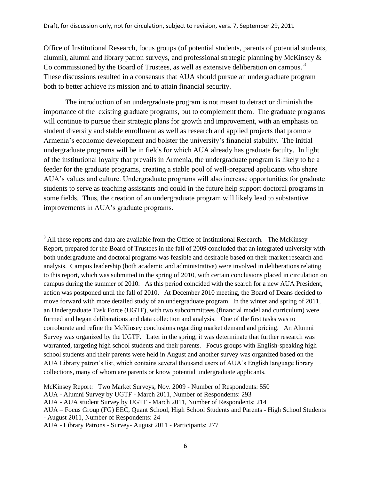Office of Institutional Research, focus groups (of potential students, parents of potential students, alumni), alumni and library patron surveys, and professional strategic planning by McKinsey & Co commissioned by the Board of Trustees, as well as extensive deliberation on campus.<sup>3</sup> These discussions resulted in a consensus that AUA should pursue an undergraduate program both to better achieve its mission and to attain financial security.

The introduction of an undergraduate program is not meant to detract or diminish the importance of the existing graduate programs, but to complement them. The graduate programs will continue to pursue their strategic plans for growth and improvement, with an emphasis on student diversity and stable enrollment as well as research and applied projects that promote Armenia's economic development and bolster the university's financial stability. The initial undergraduate programs will be in fields for which AUA already has graduate faculty. In light of the institutional loyalty that prevails in Armenia, the undergraduate program is likely to be a feeder for the graduate programs, creating a stable pool of well-prepared applicants who share AUA's values and culture. Undergraduate programs will also increase opportunities for graduate students to serve as teaching assistants and could in the future help support doctoral programs in some fields. Thus, the creation of an undergraduate program will likely lead to substantive improvements in AUA's graduate programs.

 $\overline{a}$ 

<sup>&</sup>lt;sup>3</sup> All these reports and data are available from the Office of Institutional Research. The McKinsey Report, prepared for the Board of Trustees in the fall of 2009 concluded that an integrated university with both undergraduate and doctoral programs was feasible and desirable based on their market research and analysis. Campus leadership (both academic and administrative) were involved in deliberations relating to this report, which was submitted in the spring of 2010, with certain conclusions placed in circulation on campus during the summer of 2010. As this period coincided with the search for a new AUA President, action was postponed until the fall of 2010. At December 2010 meeting, the Board of Deans decided to move forward with more detailed study of an undergraduate program. In the winter and spring of 2011, an Undergraduate Task Force (UGTF), with two subcommittees (financial model and curriculum) were formed and began deliberations and data collection and analysis. One of the first tasks was to corroborate and refine the McKinsey conclusions regarding market demand and pricing. An Alumni Survey was organized by the UGTF. Later in the spring, it was determinate that further research was warranted, targeting high school students and their parents. Focus groups with English-speaking high school students and their parents were held in August and another survey was organized based on the AUA Library patron's list, which contains several thousand users of AUA's English language library collections, many of whom are parents or know potential undergraduate applicants.

McKinsey Report: Two Market Surveys, Nov. 2009 - Number of Respondents: 550

AUA - Alumni Survey by UGTF - March 2011, Number of Respondents: 293

AUA - AUA student Survey by UGTF - March 2011, Number of Respondents: 214

AUA – Focus Group (FG) EEC, Quant School, High School Students and Parents - High School Students - August 2011, Number of Respondents: 24

AUA - Library Patrons - Survey- August 2011 - Participants: 277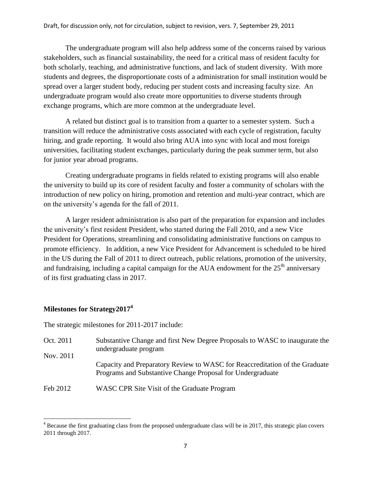The undergraduate program will also help address some of the concerns raised by various stakeholders, such as financial sustainability, the need for a critical mass of resident faculty for both scholarly, teaching, and administrative functions, and lack of student diversity. With more students and degrees, the disproportionate costs of a administration for small institution would be spread over a larger student body, reducing per student costs and increasing faculty size. An undergraduate program would also create more opportunities to diverse students through exchange programs, which are more common at the undergraduate level.

A related but distinct goal is to transition from a quarter to a semester system. Such a transition will reduce the administrative costs associated with each cycle of registration, faculty hiring, and grade reporting. It would also bring AUA into sync with local and most foreign universities, facilitating student exchanges, particularly during the peak summer term, but also for junior year abroad programs.

Creating undergraduate programs in fields related to existing programs will also enable the university to build up its core of resident faculty and foster a community of scholars with the introduction of new policy on hiring, promotion and retention and multi-year contract, which are on the university's agenda for the fall of 2011.

A larger resident administration is also part of the preparation for expansion and includes the university's first resident President, who started during the Fall 2010, and a new Vice President for Operations, streamlining and consolidating administrative functions on campus to promote efficiency. In addition, a new Vice President for Advancement is scheduled to be hired in the US during the Fall of 2011 to direct outreach, public relations, promotion of the university, and fundraising, including a capital campaign for the AUA endowment for the  $25<sup>th</sup>$  anniversary of its first graduating class in 2017.

# **Milestones for Strategy2017<sup>4</sup>**

l

The strategic milestones for 2011-2017 include:

- Oct. 2011 Nov. 2011 Substantive Change and first New Degree Proposals to WASC to inaugurate the undergraduate program Capacity and Preparatory Review to WASC for Reaccreditation of the Graduate Programs and Substantive Change Proposal for Undergraduate
- Feb 2012 WASC CPR Site Visit of the Graduate Program

<sup>&</sup>lt;sup>4</sup> Because the first graduating class from the proposed undergraduate class will be in 2017, this strategic plan covers 2011 through 2017.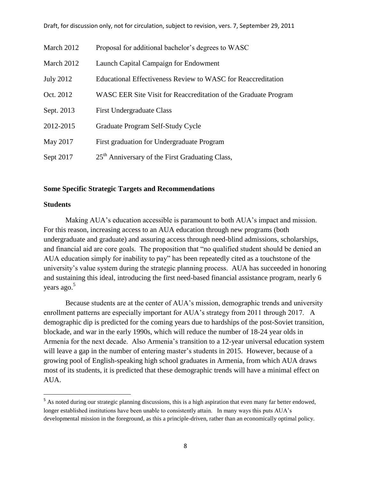| March 2012       | Proposal for additional bachelor's degrees to WASC              |
|------------------|-----------------------------------------------------------------|
| March 2012       | Launch Capital Campaign for Endowment                           |
| <b>July 2012</b> | Educational Effectiveness Review to WASC for Reaccreditation    |
| Oct. 2012        | WASC EER Site Visit for Reaccreditation of the Graduate Program |
| Sept. 2013       | <b>First Undergraduate Class</b>                                |
| 2012-2015        | Graduate Program Self-Study Cycle                               |
| May 2017         | First graduation for Undergraduate Program                      |
| Sept 2017        | 25 <sup>th</sup> Anniversary of the First Graduating Class,     |

#### Draft, for discussion only, not for circulation, subject to revision, vers. 7, September 29, 2011

#### **Some Specific Strategic Targets and Recommendations**

#### **Students**

 $\overline{a}$ 

Making AUA's education accessible is paramount to both AUA's impact and mission. For this reason, increasing access to an AUA education through new programs (both undergraduate and graduate) and assuring access through need-blind admissions, scholarships, and financial aid are core goals. The proposition that "no qualified student should be denied an AUA education simply for inability to pay" has been repeatedly cited as a touchstone of the university's value system during the strategic planning process. AUA has succeeded in honoring and sustaining this ideal, introducing the first need-based financial assistance program, nearly 6 years ago. 5

Because students are at the center of AUA's mission, demographic trends and university enrollment patterns are especially important for AUA's strategy from 2011 through 2017. A demographic dip is predicted for the coming years due to hardships of the post-Soviet transition, blockade, and war in the early 1990s, which will reduce the number of 18-24 year olds in Armenia for the next decade. Also Armenia's transition to a 12-year universal education system will leave a gap in the number of entering master's students in 2015. However, because of a growing pool of English-speaking high school graduates in Armenia, from which AUA draws most of its students, it is predicted that these demographic trends will have a minimal effect on AUA.

<sup>&</sup>lt;sup>5</sup> As noted during our strategic planning discussions, this is a high aspiration that even many far better endowed, longer established institutions have been unable to consistently attain. In many ways this puts AUA's developmental mission in the foreground, as this a principle-driven, rather than an economically optimal policy.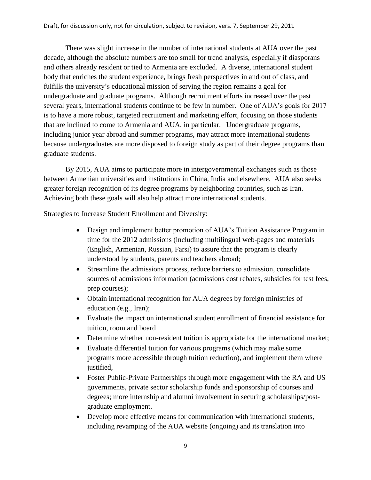There was slight increase in the number of international students at AUA over the past decade, although the absolute numbers are too small for trend analysis, especially if diasporans and others already resident or tied to Armenia are excluded. A diverse, international student body that enriches the student experience, brings fresh perspectives in and out of class, and fulfills the university's educational mission of serving the region remains a goal for undergraduate and graduate programs. Although recruitment efforts increased over the past several years, international students continue to be few in number. One of AUA's goals for 2017 is to have a more robust, targeted recruitment and marketing effort, focusing on those students that are inclined to come to Armenia and AUA, in particular. Undergraduate programs, including junior year abroad and summer programs, may attract more international students because undergraduates are more disposed to foreign study as part of their degree programs than graduate students.

By 2015, AUA aims to participate more in intergovernmental exchanges such as those between Armenian universities and institutions in China, India and elsewhere. AUA also seeks greater foreign recognition of its degree programs by neighboring countries, such as Iran. Achieving both these goals will also help attract more international students.

Strategies to Increase Student Enrollment and Diversity:

- Design and implement better promotion of AUA's Tuition Assistance Program in time for the 2012 admissions (including multilingual web-pages and materials (English, Armenian, Russian, Farsi) to assure that the program is clearly understood by students, parents and teachers abroad;
- Streamline the admissions process, reduce barriers to admission, consolidate sources of admissions information (admissions cost rebates, subsidies for test fees, prep courses);
- Obtain international recognition for AUA degrees by foreign ministries of education (e.g., Iran);
- Evaluate the impact on international student enrollment of financial assistance for tuition, room and board
- Determine whether non-resident tuition is appropriate for the international market;
- Evaluate differential tuition for various programs (which may make some programs more accessible through tuition reduction), and implement them where justified.
- Foster Public-Private Partnerships through more engagement with the RA and US governments, private sector scholarship funds and sponsorship of courses and degrees; more internship and alumni involvement in securing scholarships/postgraduate employment.
- Develop more effective means for communication with international students, including revamping of the AUA website (ongoing) and its translation into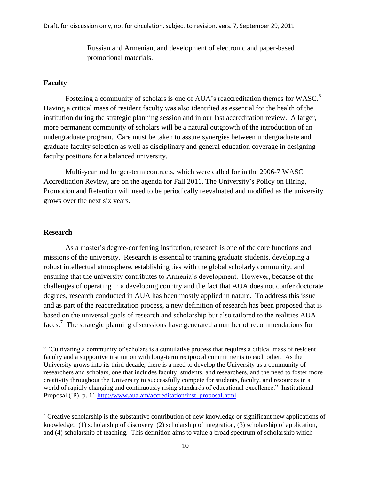Russian and Armenian, and development of electronic and paper-based promotional materials.

#### **Faculty**

Fostering a community of scholars is one of AUA's reaccreditation themes for WASC.<sup>6</sup> Having a critical mass of resident faculty was also identified as essential for the health of the institution during the strategic planning session and in our last accreditation review. A larger, more permanent community of scholars will be a natural outgrowth of the introduction of an undergraduate program. Care must be taken to assure synergies between undergraduate and graduate faculty selection as well as disciplinary and general education coverage in designing faculty positions for a balanced university.

Multi-year and longer-term contracts, which were called for in the 2006-7 WASC Accreditation Review, are on the agenda for Fall 2011. The University's Policy on Hiring, Promotion and Retention will need to be periodically reevaluated and modified as the university grows over the next six years.

#### **Research**

As a master's degree-conferring institution, research is one of the core functions and missions of the university. Research is essential to training graduate students, developing a robust intellectual atmosphere, establishing ties with the global scholarly community, and ensuring that the university contributes to Armenia's development. However, because of the challenges of operating in a developing country and the fact that AUA does not confer doctorate degrees, research conducted in AUA has been mostly applied in nature. To address this issue and as part of the reaccreditation process, a new definition of research has been proposed that is based on the universal goals of research and scholarship but also tailored to the realities AUA faces.<sup>7</sup> The strategic planning discussions have generated a number of recommendations for

<sup>&</sup>lt;sup>6</sup> "Cultivating a community of scholars is a cumulative process that requires a critical mass of resident faculty and a supportive institution with long-term reciprocal commitments to each other. As the University grows into its third decade, there is a need to develop the University as a community of researchers and scholars, one that includes faculty, students, and researchers, and the need to foster more creativity throughout the University to successfully compete for students, faculty, and resources in a world of rapidly changing and continuously rising standards of educational excellence." Institutional Proposal (IP), p. 11 [http://www.aua.am/accreditation/inst\\_proposal.html](http://www.aua.am/accreditation/inst_proposal.html)

<sup>&</sup>lt;sup>7</sup> Creative scholarship is the substantive contribution of new knowledge or significant new applications of knowledge: (1) scholarship of discovery, (2) scholarship of integration, (3) scholarship of application, and (4) scholarship of teaching. This definition aims to value a broad spectrum of scholarship which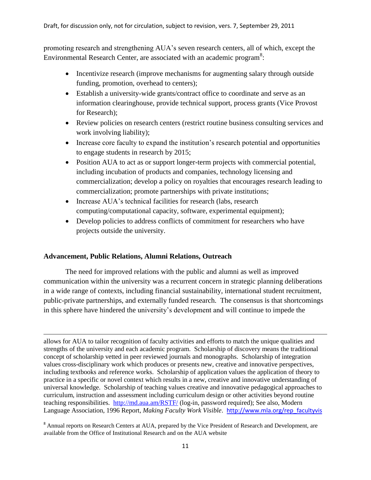promoting research and strengthening AUA's seven research centers, all of which, except the Environmental Research Center, are associated with an academic program<sup>8</sup>:

- Incentivize research (improve mechanisms for augmenting salary through outside funding, promotion, overhead to centers);
- Establish a university-wide grants/contract office to coordinate and serve as an information clearinghouse, provide technical support, process grants (Vice Provost for Research);
- Review policies on research centers (restrict routine business consulting services and work involving liability);
- Increase core faculty to expand the institution's research potential and opportunities to engage students in research by 2015;
- Position AUA to act as or support longer-term projects with commercial potential, including incubation of products and companies, technology licensing and commercialization; develop a policy on royalties that encourages research leading to commercialization; promote partnerships with private institutions;
- Increase AUA's technical facilities for research (labs, research computing/computational capacity, software, experimental equipment);
- Develop policies to address conflicts of commitment for researchers who have projects outside the university.

# **Advancement, Public Relations, Alumni Relations, Outreach**

The need for improved relations with the public and alumni as well as improved communication within the university was a recurrent concern in strategic planning deliberations in a wide range of contexts, including financial sustainability, international student recruitment, public-private partnerships, and externally funded research. The consensus is that shortcomings in this sphere have hindered the university's development and will continue to impede the

 $\overline{a}$ allows for AUA to tailor recognition of faculty activities and efforts to match the unique qualities and strengths of the university and each academic program. Scholarship of discovery means the traditional concept of scholarship vetted in peer reviewed journals and monographs. Scholarship of integration values cross-disciplinary work which produces or presents new, creative and innovative perspectives, including textbooks and reference works. Scholarship of application values the application of theory to practice in a specific or novel context which results in a new, creative and innovative understanding of universal knowledge. Scholarship of teaching values creative and innovative pedagogical approaches to curriculum, instruction and assessment including curriculum design or other activities beyond routine teaching responsibilities. <http://md.aua.am/RSTF/> (log-in, password required); See also, Modern Language Association, 1996 Report, *Making Faculty Work Visible*. [http://www.mla.org/rep\\_facultyvis](http://www.mla.org/rep_facultyvis)

<sup>&</sup>lt;sup>8</sup> Annual reports on Research Centers at AUA, prepared by the Vice President of Research and Development, are available from the Office of Institutional Research and on the AUA website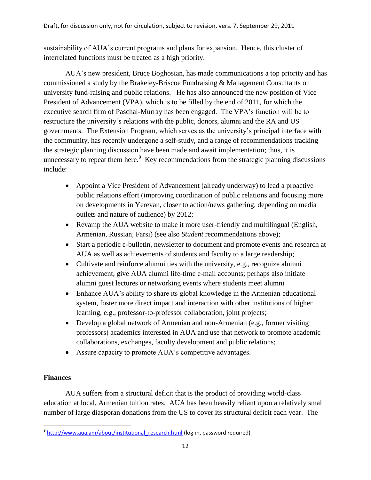sustainability of AUA's current programs and plans for expansion. Hence, this cluster of interrelated functions must be treated as a high priority.

AUA's new president, Bruce Boghosian, has made communications a top priority and has commissioned a study by the Brakeley-Briscoe Fundraising & Management Consultants on university fund-raising and public relations. He has also announced the new position of Vice President of Advancement (VPA), which is to be filled by the end of 2011, for which the executive search firm of Paschal-Murray has been engaged. The VPA's function will be to restructure the university's relations with the public, donors, alumni and the RA and US governments. The Extension Program, which serves as the university's principal interface with the community, has recently undergone a self-study, and a range of recommendations tracking the strategic planning discussion have been made and await implementation; thus, it is unnecessary to repeat them here. $9$  Key recommendations from the strategic planning discussions include:

- Appoint a Vice President of Advancement (already underway) to lead a proactive public relations effort (improving coordination of public relations and focusing more on developments in Yerevan, closer to action/news gathering, depending on media outlets and nature of audience) by 2012;
- Revamp the AUA website to make it more user-friendly and multilingual (English, Armenian, Russian, Farsi) (see also *Student* recommendations above);
- Start a periodic e-bulletin, newsletter to document and promote events and research at AUA as well as achievements of students and faculty to a large readership;
- Cultivate and reinforce alumni ties with the university, e.g., recognize alumni achievement, give AUA alumni life-time e-mail accounts; perhaps also initiate alumni guest lectures or networking events where students meet alumni
- Enhance AUA's ability to share its global knowledge in the Armenian educational system, foster more direct impact and interaction with other institutions of higher learning, e.g., professor-to-professor collaboration, joint projects;
- Develop a global network of Armenian and non-Armenian (e.g., former visiting professors) academics interested in AUA and use that network to promote academic collaborations, exchanges, faculty development and public relations;
- Assure capacity to promote AUA's competitive advantages.

# **Finances**

AUA suffers from a structural deficit that is the product of providing world-class education at local, Armenian tuition rates. AUA has been heavily reliant upon a relatively small number of large diasporan donations from the US to cover its structural deficit each year. The

 $\overline{\phantom{a}}$ <sup>9</sup> http://www.aua.am/about/institutional research.html (log-in, password required)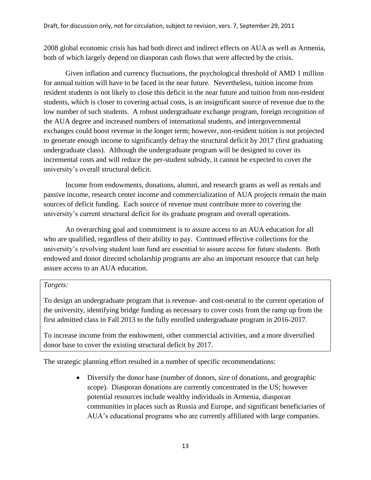2008 global economic crisis has had both direct and indirect effects on AUA as well as Armenia, both of which largely depend on diasporan cash flows that were affected by the crisis.

Given inflation and currency fluctuations, the psychological threshold of AMD 1 million for annual tuition will have to be faced in the near future. Nevertheless, tuition income from resident students is not likely to close this deficit in the near future and tuition from non-resident students, which is closer to covering actual costs, is an insignificant source of revenue due to the low number of such students. A robust undergraduate exchange program, foreign recognition of the AUA degree and increased numbers of international students, and intergovernmental exchanges could boost revenue in the longer term; however, non-resident tuition is not projected to generate enough income to significantly defray the structural deficit by 2017 (first graduating undergraduate class). Although the undergraduate program will be designed to cover its incremental costs and will reduce the per-student subsidy, it cannot be expected to cover the university's overall structural deficit.

Income from endowments, donations, alumni, and research grants as well as rentals and passive income, research center income and commercialization of AUA projects remain the main sources of deficit funding. Each source of revenue must contribute more to covering the university's current structural deficit for its graduate program and overall operations.

An overarching goal and commitment is to assure access to an AUA education for all who are qualified, regardless of their ability to pay. Continued effective collections for the university's revolving student loan fund are essential to assure access for future students. Both endowed and donor directed scholarship programs are also an important resource that can help assure access to an AUA education.

# *Targets:*

To design an undergraduate program that is revenue- and cost-neutral to the current operation of the university, identifying bridge funding as necessary to cover costs from the ramp up from the first admitted class in Fall 2013 to the fully enrolled undergraduate program in 2016-2017.

To increase income from the endowment, other commercial activities, and a more diversified donor base to cover the existing structural deficit by 2017.

The strategic planning effort resulted in a number of specific recommendations:

 Diversify the donor base (number of donors, size of donations, and geographic scope). Diasporan donations are currently concentrated in the US; however potential resources include wealthy individuals in Armenia, diasporan communities in places such as Russia and Europe, and significant beneficiaries of AUA's educational programs who are currently affiliated with large companies.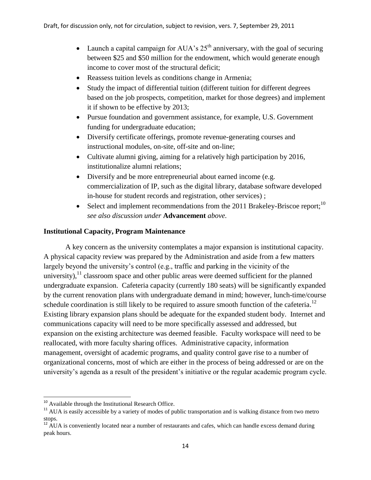- Launch a capital campaign for AUA's  $25<sup>th</sup>$  anniversary, with the goal of securing between \$25 and \$50 million for the endowment, which would generate enough income to cover most of the structural deficit;
- Reassess tuition levels as conditions change in Armenia;
- Study the impact of differential tuition (different tuition for different degrees based on the job prospects, competition, market for those degrees) and implement it if shown to be effective by 2013;
- Pursue foundation and government assistance, for example, U.S. Government funding for undergraduate education;
- Diversify certificate offerings, promote revenue-generating courses and instructional modules, on-site, off-site and on-line;
- Cultivate alumni giving, aiming for a relatively high participation by 2016, institutionalize alumni relations;
- Diversify and be more entrepreneurial about earned income (e.g. commercialization of IP, such as the digital library, database software developed in-house for student records and registration, other services) ;
- Select and implement recommendations from the 2011 Brakeley-Briscoe report;<sup>10</sup> *see also discussion under* **Advancement** *above.*

# **Institutional Capacity, Program Maintenance**

A key concern as the university contemplates a major expansion is institutional capacity. A physical capacity review was prepared by the Administration and aside from a few matters largely beyond the university's control (e.g., traffic and parking in the vicinity of the university), $11$  classroom space and other public areas were deemed sufficient for the planned undergraduate expansion. Cafeteria capacity (currently 180 seats) will be significantly expanded by the current renovation plans with undergraduate demand in mind; however, lunch-time/course schedule coordination is still likely to be required to assure smooth function of the cafeteria.<sup>12</sup> Existing library expansion plans should be adequate for the expanded student body. Internet and communications capacity will need to be more specifically assessed and addressed, but expansion on the existing architecture was deemed feasible. Faculty workspace will need to be reallocated, with more faculty sharing offices. Administrative capacity, information management, oversight of academic programs, and quality control gave rise to a number of organizational concerns, most of which are either in the process of being addressed or are on the university's agenda as a result of the president's initiative or the regular academic program cycle.

l

<sup>&</sup>lt;sup>10</sup> Available through the Institutional Research Office.

<sup>&</sup>lt;sup>11</sup> AUA is easily accessible by a variety of modes of public transportation and is walking distance from two metro stops.

 $12$  AUA is conveniently located near a number of restaurants and cafes, which can handle excess demand during peak hours.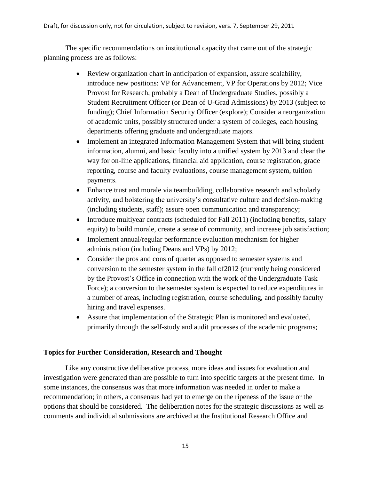The specific recommendations on institutional capacity that came out of the strategic planning process are as follows:

- Review organization chart in anticipation of expansion, assure scalability, introduce new positions: VP for Advancement, VP for Operations by 2012; Vice Provost for Research, probably a Dean of Undergraduate Studies, possibly a Student Recruitment Officer (or Dean of U-Grad Admissions) by 2013 (subject to funding); Chief Information Security Officer (explore); Consider a reorganization of academic units, possibly structured under a system of colleges, each housing departments offering graduate and undergraduate majors.
- Implement an integrated Information Management System that will bring student information, alumni, and basic faculty into a unified system by 2013 and clear the way for on-line applications, financial aid application, course registration, grade reporting, course and faculty evaluations, course management system, tuition payments.
- Enhance trust and morale via teambuilding, collaborative research and scholarly activity, and bolstering the university's consultative culture and decision-making (including students, staff); assure open communication and transparency;
- Introduce multiyear contracts (scheduled for Fall 2011) (including benefits, salary equity) to build morale, create a sense of community, and increase job satisfaction;
- Implement annual/regular performance evaluation mechanism for higher administration (including Deans and VPs) by 2012;
- Consider the pros and cons of quarter as opposed to semester systems and conversion to the semester system in the fall of2012 (currently being considered by the Provost's Office in connection with the work of the Undergraduate Task Force); a conversion to the semester system is expected to reduce expenditures in a number of areas, including registration, course scheduling, and possibly faculty hiring and travel expenses.
- Assure that implementation of the Strategic Plan is monitored and evaluated, primarily through the self-study and audit processes of the academic programs;

# **Topics for Further Consideration, Research and Thought**

Like any constructive deliberative process, more ideas and issues for evaluation and investigation were generated than are possible to turn into specific targets at the present time. In some instances, the consensus was that more information was needed in order to make a recommendation; in others, a consensus had yet to emerge on the ripeness of the issue or the options that should be considered. The deliberation notes for the strategic discussions as well as comments and individual submissions are archived at the Institutional Research Office and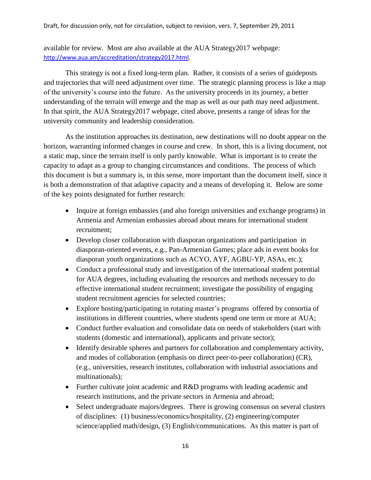available for review. Most are also available at the AUA Strategy2017 webpage: [http://www.aua.am/accreditation/strategy2017.html.](http://www.aua.am/accreditation/strategy2017.html)

This strategy is not a fixed long-term plan. Rather, it consists of a series of guideposts and trajectories that will need adjustment over time. The strategic planning process is like a map of the university's course into the future. As the university proceeds in its journey, a better understanding of the terrain will emerge and the map as well as our path may need adjustment. In that spirit, the AUA Strategy2017 webpage, cited above, presents a range of ideas for the university community and leadership consideration.

As the institution approaches its destination, new destinations will no doubt appear on the horizon, warranting informed changes in course and crew. In short, this is a living document, not a static map, since the terrain itself is only partly knowable. What is important is to create the capacity to adapt as a group to changing circumstances and conditions. The process of which this document is but a summary is, in this sense, more important than the document itself, since it is both a demonstration of that adaptive capacity and a means of developing it. Below are some of the key points designated for further research:

- Inquire at foreign embassies (and also foreign universities and exchange programs) in Armenia and Armenian embassies abroad about means for international student recruitment;
- Develop closer collaboration with diasporan organizations and participation in diasporan-oriented events, e.g., Pan-Armenian Games; place ads in event books for diasporan youth organizations such as ACYO, AYF, AGBU-YP, ASAs, etc.);
- Conduct a professional study and investigation of the international student potential for AUA degrees, including evaluating the resources and methods necessary to do effective international student recruitment; investigate the possibility of engaging student recruitment agencies for selected countries;
- Explore hosting/participating in rotating master's programs offered by consortia of institutions in different countries, where students spend one term or more at AUA;
- Conduct further evaluation and consolidate data on needs of stakeholders (start with students (domestic and international), applicants and private sector);
- Identify desirable spheres and partners for collaboration and complementary activity, and modes of collaboration (emphasis on direct peer-to-peer collaboration) (CR), (e.g., universities, research institutes, collaboration with industrial associations and multinationals);
- Further cultivate joint academic and R&D programs with leading academic and research institutions, and the private sectors in Armenia and abroad;
- Select undergraduate majors/degrees. There is growing consensus on several clusters of disciplines: (1) business/economics/hospitality, (2) engineering/computer science/applied math/design, (3) English/communications. As this matter is part of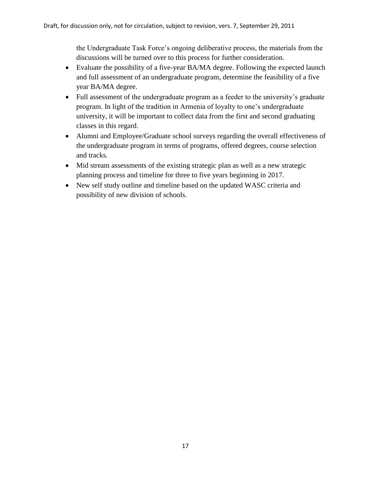the Undergraduate Task Force's ongoing deliberative process, the materials from the discussions will be turned over to this process for further consideration.

- Evaluate the possibility of a five-year BA/MA degree. Following the expected launch and full assessment of an undergraduate program, determine the feasibility of a five year BA/MA degree.
- Full assessment of the undergraduate program as a feeder to the university's graduate program. In light of the tradition in Armenia of loyalty to one's undergraduate university, it will be important to collect data from the first and second graduating classes in this regard.
- Alumni and Employee/Graduate school surveys regarding the overall effectiveness of the undergraduate program in terms of programs, offered degrees, course selection and tracks.
- Mid stream assessments of the existing strategic plan as well as a new strategic planning process and timeline for three to five years beginning in 2017.
- New self study outline and timeline based on the updated WASC criteria and possibility of new division of schools.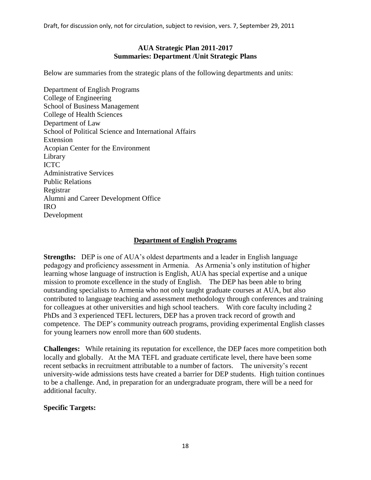Draft, for discussion only, not for circulation, subject to revision, vers. 7, September 29, 2011

#### **AUA Strategic Plan 2011-2017 Summaries: Department /Unit Strategic Plans**

Below are summaries from the strategic plans of the following departments and units:

Department of English Programs College of Engineering School of Business Management College of Health Sciences Department of Law School of Political Science and International Affairs Extension Acopian Center for the Environment Library ICTC Administrative Services Public Relations Registrar Alumni and Career Development Office IRO Development

#### **Department of English Programs**

**Strengths:** DEP is one of AUA's oldest departments and a leader in English language pedagogy and proficiency assessment in Armenia. As Armenia's only institution of higher learning whose language of instruction is English, AUA has special expertise and a unique mission to promote excellence in the study of English. The DEP has been able to bring outstanding specialists to Armenia who not only taught graduate courses at AUA, but also contributed to language teaching and assessment methodology through conferences and training for colleagues at other universities and high school teachers. With core faculty including 2 PhDs and 3 experienced TEFL lecturers, DEP has a proven track record of growth and competence. The DEP's community outreach programs, providing experimental English classes for young learners now enroll more than 600 students.

**Challenges:** While retaining its reputation for excellence, the DEP faces more competition both locally and globally. At the MA TEFL and graduate certificate level, there have been some recent setbacks in recruitment attributable to a number of factors. The university's recent university-wide admissions tests have created a barrier for DEP students. High tuition continues to be a challenge. And, in preparation for an undergraduate program, there will be a need for additional faculty.

#### **Specific Targets:**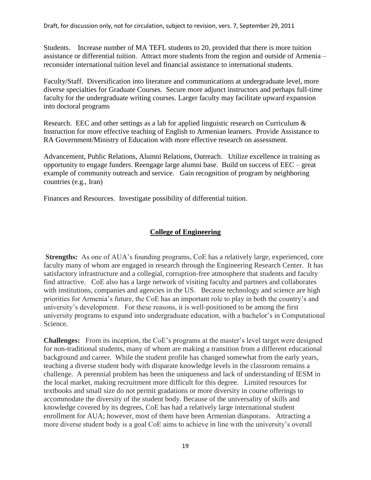Students. Increase number of MA TEFL students to 20, provided that there is more tuition assistance or differential tuition. Attract more students from the region and outside of Armenia – reconsider international tuition level and financial assistance to international students.

Faculty/Staff. Diversification into literature and communications at undergraduate level, more diverse specialties for Graduate Courses. Secure more adjunct instructors and perhaps full-time faculty for the undergraduate writing courses. Larger faculty may facilitate upward expansion into doctoral programs

Research. EEC and other settings as a lab for applied linguistic research on Curriculum & Instruction for more effective teaching of English to Armenian learners. Provide Assistance to RA Government/Ministry of Education with more effective research on assessment.

Advancement, Public Relations, Alumni Relations, Outreach. Utilize excellence in training as opportunity to engage funders. Reengage large alumni base. Build on success of EEC – great example of community outreach and service. Gain recognition of program by neighboring countries (e.g., Iran)

Finances and Resources.Investigate possibility of differential tuition.

# **College of Engineering**

**Strengths:** As one of AUA's founding programs, CoE has a relatively large, experienced, core faculty many of whom are engaged in research through the Engineering Research Center. It has satisfactory infrastructure and a collegial, corruption-free atmosphere that students and faculty find attractive. CoE also has a large network of visiting faculty and partners and collaborates with institutions, companies and agencies in the US. Because technology and science are high priorities for Armenia's future, the CoE has an important role to play in both the country's and university's development. For these reasons, it is well-positioned to be among the first university programs to expand into undergraduate education, with a bachelor's in Computational Science.

**Challenges:** From its inception, the CoE's programs at the master's level target were designed for non-traditional students, many of whom are making a transition from a different educational background and career. While the student profile has changed somewhat from the early years, teaching a diverse student body with disparate knowledge levels in the classroom remains a challenge. A perennial problem has been the uniqueness and lack of understanding of IESM in the local market, making recruitment more difficult for this degree. Limited resources for textbooks and small size do not permit gradations or more diversity in course offerings to accommodate the diversity of the student body. Because of the universality of skills and knowledge covered by its degrees, CoE has had a relatively large international student enrollment for AUA; however, most of them have been Armenian diasporans. Attracting a more diverse student body is a goal CoE aims to achieve in line with the university's overall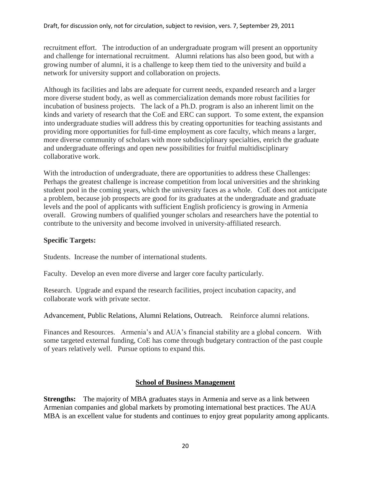recruitment effort. The introduction of an undergraduate program will present an opportunity and challenge for international recruitment. Alumni relations has also been good, but with a growing number of alumni, it is a challenge to keep them tied to the university and build a network for university support and collaboration on projects.

Although its facilities and labs are adequate for current needs, expanded research and a larger more diverse student body, as well as commercialization demands more robust facilities for incubation of business projects. The lack of a Ph.D. program is also an inherent limit on the kinds and variety of research that the CoE and ERC can support. To some extent, the expansion into undergraduate studies will address this by creating opportunities for teaching assistants and providing more opportunities for full-time employment as core faculty, which means a larger, more diverse community of scholars with more subdisciplinary specialties, enrich the graduate and undergraduate offerings and open new possibilities for fruitful multidisciplinary collaborative work.

With the introduction of undergraduate, there are opportunities to address these Challenges: Perhaps the greatest challenge is increase competition from local universities and the shrinking student pool in the coming years, which the university faces as a whole. CoE does not anticipate a problem, because job prospects are good for its graduates at the undergraduate and graduate levels and the pool of applicants with sufficient English proficiency is growing in Armenia overall. Growing numbers of qualified younger scholars and researchers have the potential to contribute to the university and become involved in university-affiliated research.

# **Specific Targets:**

Students. Increase the number of international students.

Faculty. Develop an even more diverse and larger core faculty particularly.

Research. Upgrade and expand the research facilities, project incubation capacity, and collaborate work with private sector.

Advancement, Public Relations, Alumni Relations, Outreach. Reinforce alumni relations.

Finances and Resources. Armenia's and AUA's financial stability are a global concern. With some targeted external funding, CoE has come through budgetary contraction of the past couple of years relatively well. Pursue options to expand this.

# **School of Business Management**

**Strengths:** The majority of MBA graduates stays in Armenia and serve as a link between Armenian companies and global markets by promoting international best practices. The AUA MBA is an excellent value for students and continues to enjoy great popularity among applicants.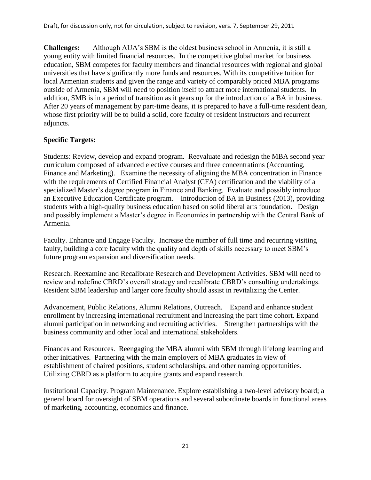**Challenges:** Although AUA's SBM is the oldest business school in Armenia, it is still a young entity with limited financial resources. In the competitive global market for business education, SBM competes for faculty members and financial resources with regional and global universities that have significantly more funds and resources. With its competitive tuition for local Armenian students and given the range and variety of comparably priced MBA programs outside of Armenia, SBM will need to position itself to attract more international students. In addition, SMB is in a period of transition as it gears up for the introduction of a BA in business. After 20 years of management by part-time deans, it is prepared to have a full-time resident dean, whose first priority will be to build a solid, core faculty of resident instructors and recurrent adjuncts.

# **Specific Targets:**

Students: Review, develop and expand program. Reevaluate and redesign the MBA second year curriculum composed of advanced elective courses and three concentrations (Accounting, Finance and Marketing). Examine the necessity of aligning the MBA concentration in Finance with the requirements of Certified Financial Analyst (CFA) certification and the viability of a specialized Master's degree program in Finance and Banking. Evaluate and possibly introduce an Executive Education Certificate program. Introduction of BA in Business (2013), providing students with a high-quality business education based on solid liberal arts foundation. Design and possibly implement a Master's degree in Economics in partnership with the Central Bank of Armenia.

Faculty. Enhance and Engage Faculty. Increase the number of full time and recurring visiting faulty, building a core faculty with the quality and depth of skills necessary to meet SBM's future program expansion and diversification needs.

Research. Reexamine and Recalibrate Research and Development Activities. SBM will need to review and redefine CBRD's overall strategy and recalibrate CBRD's consulting undertakings. Resident SBM leadership and larger core faculty should assist in revitalizing the Center.

Advancement, Public Relations, Alumni Relations, Outreach. Expand and enhance student enrollment by increasing international recruitment and increasing the part time cohort. Expand alumni participation in networking and recruiting activities. Strengthen partnerships with the business community and other local and international stakeholders.

Finances and Resources. Reengaging the MBA alumni with SBM through lifelong learning and other initiatives. Partnering with the main employers of MBA graduates in view of establishment of chaired positions, student scholarships, and other naming opportunities. Utilizing CBRD as a platform to acquire grants and expand research.

Institutional Capacity. Program Maintenance. Explore establishing a two-level advisory board; a general board for oversight of SBM operations and several subordinate boards in functional areas of marketing, accounting, economics and finance.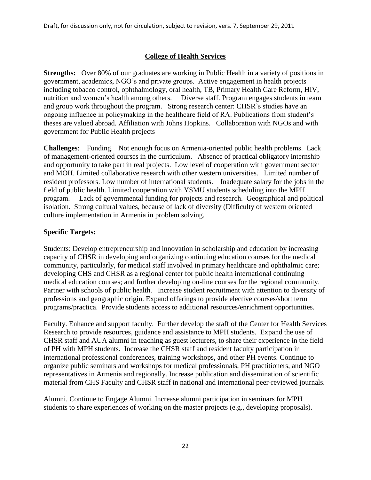# **College of Health Services**

**Strengths:** Over 80% of our graduates are working in Public Health in a variety of positions in government, academics, NGO's and private groups. Active engagement in health projects including tobacco control, ophthalmology, oral health, TB, Primary Health Care Reform, HIV, nutrition and women's health among others. Diverse staff. Program engages students in team and group work throughout the program. Strong research center: CHSR's studies have an ongoing influence in policymaking in the healthcare field of RA. Publications from student's theses are valued abroad. Affiliation with Johns Hopkins. Collaboration with NGOs and with government for Public Health projects

**Challenges**: Funding. Not enough focus on Armenia-oriented public health problems. Lack of management-oriented courses in the curriculum. Absence of practical obligatory internship and opportunity to take part in real projects. Low level of cooperation with government sector and MOH. Limited collaborative research with other western universities. Limited number of resident professors. Low number of international students. Inadequate salary for the jobs in the field of public health. Limited cooperation with YSMU students scheduling into the MPH program. Lack of governmental funding for projects and research. Geographical and political isolation. Strong cultural values, because of lack of diversity (Difficulty of western oriented culture implementation in Armenia in problem solving.

# **Specific Targets:**

Students: Develop entrepreneurship and innovation in scholarship and education by increasing capacity of CHSR in developing and organizing continuing education courses for the medical community, particularly, for medical staff involved in primary healthcare and ophthalmic care; developing CHS and CHSR as a regional center for public health international continuing medical education courses; and further developing on-line courses for the regional community. Partner with schools of public health. Increase student recruitment with attention to diversity of professions and geographic origin. Expand offerings to provide elective courses/short term programs/practica. Provide students access to additional resources/enrichment opportunities.

Faculty. Enhance and support faculty. Further develop the staff of the Center for Health Services Research to provide resources, guidance and assistance to MPH students. Expand the use of CHSR staff and AUA alumni in teaching as guest lecturers, to share their experience in the field of PH with MPH students. Increase the CHSR staff and resident faculty participation in international professional conferences, training workshops, and other PH events. Continue to organize public seminars and workshops for medical professionals, PH practitioners, and NGO representatives in Armenia and regionally. Increase publication and dissemination of scientific material from CHS Faculty and CHSR staff in national and international peer-reviewed journals.

Alumni. Continue to Engage Alumni. Increase alumni participation in seminars for MPH students to share experiences of working on the master projects (e.g., developing proposals).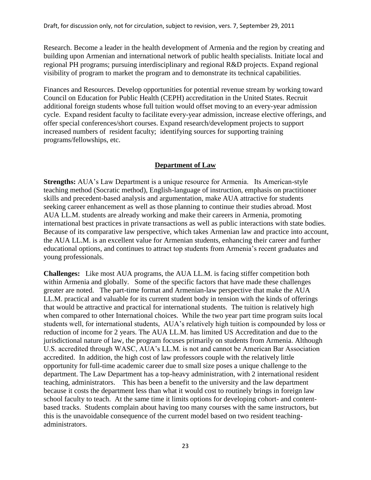Research. Become a leader in the health development of Armenia and the region by creating and building upon Armenian and international network of public health specialists. Initiate local and regional PH programs; pursuing interdisciplinary and regional R&D projects. Expand regional visibility of program to market the program and to demonstrate its technical capabilities.

Finances and Resources. Develop opportunities for potential revenue stream by working toward Council on Education for Public Health (CEPH) accreditation in the United States. Recruit additional foreign students whose full tuition would offset moving to an every-year admission cycle. Expand resident faculty to facilitate every-year admission, increase elective offerings, and offer special conferences/short courses. Expand research/development projects to support increased numbers of resident faculty; identifying sources for supporting training programs/fellowships, etc.

# **Department of Law**

**Strengths:** AUA's Law Department is a unique resource for Armenia. Its American-style teaching method (Socratic method), English-language of instruction, emphasis on practitioner skills and precedent-based analysis and argumentation, make AUA attractive for students seeking career enhancement as well as those planning to continue their studies abroad. Most AUA LL.M. students are already working and make their careers in Armenia, promoting international best practices in private transactions as well as public interactions with state bodies. Because of its comparative law perspective, which takes Armenian law and practice into account, the AUA LL.M. is an excellent value for Armenian students, enhancing their career and further educational options, and continues to attract top students from Armenia's recent graduates and young professionals.

**Challenges:** Like most AUA programs, the AUA LL.M. is facing stiffer competition both within Armenia and globally. Some of the specific factors that have made these challenges greater are noted. The part-time format and Armenian-law perspective that make the AUA LL.M. practical and valuable for its current student body in tension with the kinds of offerings that would be attractive and practical for international students. The tuition is relatively high when compared to other International choices. While the two year part time program suits local students well, for international students, AUA's relatively high tuition is compounded by loss or reduction of income for 2 years. The AUA LL.M. has limited US Accreditation and due to the jurisdictional nature of law, the program focuses primarily on students from Armenia. Although U.S. accredited through WASC, AUA's LL.M. is not and cannot be American Bar Association accredited. In addition, the high cost of law professors couple with the relatively little opportunity for full-time academic career due to small size poses a unique challenge to the department. The Law Department has a top-heavy administration, with 2 international resident teaching, administrators. This has been a benefit to the university and the law department because it costs the department less than what it would cost to routinely brings in foreign law school faculty to teach. At the same time it limits options for developing cohort- and contentbased tracks. Students complain about having too many courses with the same instructors, but this is the unavoidable consequence of the current model based on two resident teachingadministrators.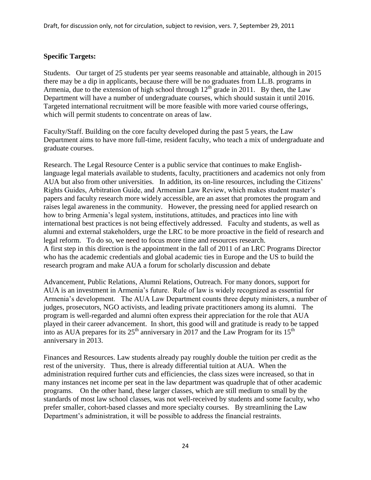#### **Specific Targets:**

Students. Our target of 25 students per year seems reasonable and attainable, although in 2015 there may be a dip in applicants, because there will be no graduates from LL.B. programs in Armenia, due to the extension of high school through  $12<sup>th</sup>$  grade in 2011. By then, the Law Department will have a number of undergraduate courses, which should sustain it until 2016. Targeted international recruitment will be more feasible with more varied course offerings, which will permit students to concentrate on areas of law.

Faculty/Staff. Building on the core faculty developed during the past 5 years, the Law Department aims to have more full-time, resident faculty, who teach a mix of undergraduate and graduate courses.

Research. The Legal Resource Center is a public service that continues to make Englishlanguage legal materials available to students, faculty, practitioners and academics not only from AUA but also from other universities. In addition, its on-line resources, including the Citizens' Rights Guides, Arbitration Guide, and Armenian Law Review, which makes student master's papers and faculty research more widely accessible, are an asset that promotes the program and raises legal awareness in the community. However, the pressing need for applied research on how to bring Armenia's legal system, institutions, attitudes, and practices into line with international best practices is not being effectively addressed. Faculty and students, as well as alumni and external stakeholders, urge the LRC to be more proactive in the field of research and legal reform. To do so, we need to focus more time and resources research. A first step in this direction is the appointment in the fall of 2011 of an LRC Programs Director who has the academic credentials and global academic ties in Europe and the US to build the research program and make AUA a forum for scholarly discussion and debate

Advancement, Public Relations, Alumni Relations, Outreach. For many donors, support for AUA is an investment in Armenia's future. Rule of law is widely recognized as essential for Armenia's development. The AUA Law Department counts three deputy ministers, a number of judges, prosecutors, NGO activists, and leading private practitioners among its alumni. The program is well-regarded and alumni often express their appreciation for the role that AUA played in their career advancement. In short, this good will and gratitude is ready to be tapped into as AUA prepares for its  $25<sup>th</sup>$  anniversary in 2017 and the Law Program for its  $15<sup>th</sup>$ anniversary in 2013.

Finances and Resources. Law students already pay roughly double the tuition per credit as the rest of the university. Thus, there is already differential tuition at AUA. When the administration required further cuts and efficiencies, the class sizes were increased, so that in many instances net income per seat in the law department was quadruple that of other academic programs. On the other hand, these larger classes, which are still medium to small by the standards of most law school classes, was not well-received by students and some faculty, who prefer smaller, cohort-based classes and more specialty courses. By streamlining the Law Department's administration, it will be possible to address the financial restraints.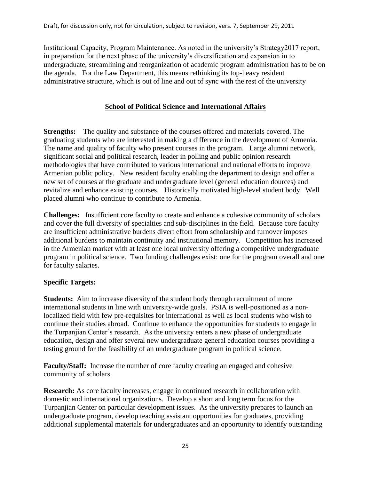Institutional Capacity, Program Maintenance. As noted in the university's Strategy2017 report, in preparation for the next phase of the university's diversification and expansion in to undergraduate, streamlining and reorganization of academic program administration has to be on the agenda. For the Law Department, this means rethinking its top-heavy resident administrative structure, which is out of line and out of sync with the rest of the university

# **School of Political Science and International Affairs**

**Strengths:** The quality and substance of the courses offered and materials covered. The graduating students who are interested in making a difference in the development of Armenia. The name and quality of faculty who present courses in the program. Large alumni network, significant social and political research, leader in polling and public opinion research methodologies that have contributed to various international and national efforts to improve Armenian public policy. New resident faculty enabling the department to design and offer a new set of courses at the graduate and undergraduate level (general education dources) and revitalize and enhance existing courses. Historically motivated high-level student body. Well placed alumni who continue to contribute to Armenia.

**Challenges:** Insufficient core faculty to create and enhance a cohesive community of scholars and cover the full diversity of specialties and sub-disciplines in the field. Because core faculty are insufficient administrative burdens divert effort from scholarship and turnover imposes additional burdens to maintain continuity and institutional memory. Competition has increased in the Armenian market with at least one local university offering a competitive undergraduate program in political science. Two funding challenges exist: one for the program overall and one for faculty salaries.

# **Specific Targets:**

**Students:** Aim to increase diversity of the student body through recruitment of more international students in line with university-wide goals. PSIA is well-positioned as a nonlocalized field with few pre-requisites for international as well as local students who wish to continue their studies abroad. Continue to enhance the opportunities for students to engage in the Turpanjian Center's research. As the university enters a new phase of undergraduate education, design and offer several new undergraduate general education courses providing a testing ground for the feasibility of an undergraduate program in political science.

**Faculty/Staff:** Increase the number of core faculty creating an engaged and cohesive community of scholars.

**Research:** As core faculty increases, engage in continued research in collaboration with domestic and international organizations. Develop a short and long term focus for the Turpanjian Center on particular development issues. As the university prepares to launch an undergraduate program, develop teaching assistant opportunities for graduates, providing additional supplemental materials for undergraduates and an opportunity to identify outstanding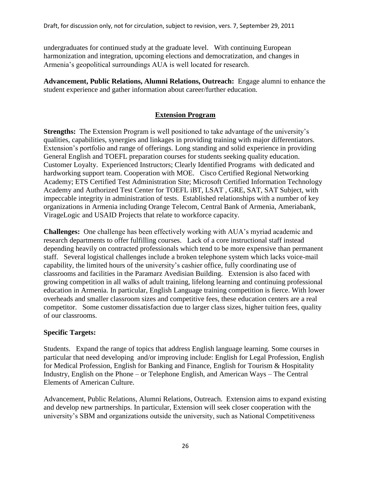undergraduates for continued study at the graduate level. With continuing European harmonization and integration, upcoming elections and democratization, and changes in Armenia's geopolitical surroundings AUA is well located for research.

**Advancement, Public Relations, Alumni Relations, Outreach:** Engage alumni to enhance the student experience and gather information about career/further education.

# **Extension Program**

**Strengths:** The Extension Program is well positioned to take advantage of the university's qualities, capabilities, synergies and linkages in providing training with major differentiators. Extension's portfolio and range of offerings. Long standing and solid experience in providing General English and TOEFL preparation courses for students seeking quality education. Customer Loyalty. Experienced Instructors; Clearly Identified Programs with dedicated and hardworking support team. Cooperation with MOE. Cisco Certified Regional Networking Academy; ETS Certified Test Administration Site; Microsoft Certified Information Technology Academy and Authorized Test Center for TOEFL iBT, LSAT , GRE, SAT, SAT Subject, with impeccable integrity in administration of tests. Established relationships with a number of key organizations in Armenia including Orange Telecom, Central Bank of Armenia, Ameriabank, VirageLogic and USAID Projects that relate to workforce capacity.

**Challenges:** One challenge has been effectively working with AUA's myriad academic and research departments to offer fulfilling courses. Lack of a core instructional staff instead depending heavily on contracted professionals which tend to be more expensive than permanent staff. Several logistical challenges include a broken telephone system which lacks voice-mail capability, the limited hours of the university's cashier office, fully coordinating use of classrooms and facilities in the Paramarz Avedisian Building. Extension is also faced with growing competition in all walks of adult training, lifelong learning and continuing professional education in Armenia. In particular, English Language training competition is fierce. With lower overheads and smaller classroom sizes and competitive fees, these education centers are a real competitor. Some customer dissatisfaction due to larger class sizes, higher tuition fees, quality of our classrooms.

# **Specific Targets:**

Students. Expand the range of topics that address English language learning. Some courses in particular that need developing and/or improving include: English for Legal Profession, English for Medical Profession, English for Banking and Finance, English for Tourism & Hospitality Industry, English on the Phone – or Telephone English, and American Ways – The Central Elements of American Culture.

Advancement, Public Relations, Alumni Relations, Outreach. Extension aims to expand existing and develop new partnerships. In particular, Extension will seek closer cooperation with the university's SBM and organizations outside the university, such as National Competitiveness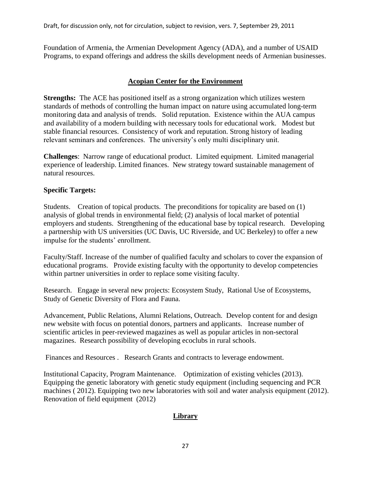Foundation of Armenia, the Armenian Development Agency (ADA), and a number of USAID Programs, to expand offerings and address the skills development needs of Armenian businesses.

# **Acopian Center for the Environment**

**Strengths:** The ACE has positioned itself as a strong organization which utilizes western standards of methods of controlling the human impact on nature using accumulated long-term monitoring data and analysis of trends. Solid reputation. Existence within the AUA campus and availability of a modern building with necessary tools for educational work. Modest but stable financial resources. Consistency of work and reputation. Strong history of leading relevant seminars and conferences. The university's only multi disciplinary unit.

**Challenges**: Narrow range of educational product. Limited equipment. Limited managerial experience of leadership. Limited finances. New strategy toward sustainable management of natural resources.

# **Specific Targets:**

Students. Creation of topical products. The preconditions for topicality are based on (1) analysis of global trends in environmental field; (2) analysis of local market of potential employers and students. Strengthening of the educational base by topical research. Developing a partnership with US universities (UC Davis, UC Riverside, and UC Berkeley) to offer a new impulse for the students' enrollment.

Faculty/Staff. Increase of the number of qualified faculty and scholars to cover the expansion of educational programs. Provide existing faculty with the opportunity to develop competencies within partner universities in order to replace some visiting faculty.

Research. Engage in several new projects: Ecosystem Study, Rational Use of Ecosystems, Study of Genetic Diversity of Flora and Fauna.

Advancement, Public Relations, Alumni Relations, Outreach. Develop content for and design new website with focus on potential donors, partners and applicants. Increase number of scientific articles in peer-reviewed magazines as well as popular articles in non-sectoral magazines. Research possibility of developing ecoclubs in rural schools.

Finances and Resources . Research Grants and contracts to leverage endowment.

Institutional Capacity, Program Maintenance. Optimization of existing vehicles (2013). Equipping the genetic laboratory with genetic study equipment (including sequencing and PCR machines ( 2012). Equipping two new laboratories with soil and water analysis equipment (2012). Renovation of field equipment (2012)

# **Library**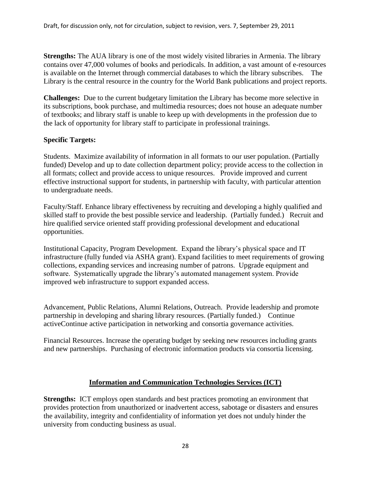**Strengths:** The AUA library is one of the most widely visited libraries in Armenia. The library contains over 47,000 volumes of books and periodicals. In addition, a vast amount of e-resources is available on the Internet through commercial databases to which the library subscribes. The Library is the central resource in the country for the World Bank publications and project reports.

**Challenges:** Due to the current budgetary limitation the Library has become more selective in its subscriptions, book purchase, and multimedia resources; does not house an adequate number of textbooks; and library staff is unable to keep up with developments in the profession due to the lack of opportunity for library staff to participate in professional trainings.

#### **Specific Targets:**

Students. Maximize availability of information in all formats to our user population. (Partially funded) Develop and up to date collection department policy; provide access to the collection in all formats; collect and provide access to unique resources. Provide improved and current effective instructional support for students, in partnership with faculty, with particular attention to undergraduate needs.

Faculty/Staff. Enhance library effectiveness by recruiting and developing a highly qualified and skilled staff to provide the best possible service and leadership. (Partially funded.) Recruit and hire qualified service oriented staff providing professional development and educational opportunities.

Institutional Capacity, Program Development. Expand the library's physical space and IT infrastructure (fully funded via ASHA grant). Expand facilities to meet requirements of growing collections, expanding services and increasing number of patrons. Upgrade equipment and software. Systematically upgrade the library's automated management system. Provide improved web infrastructure to support expanded access.

Advancement, Public Relations, Alumni Relations, Outreach. Provide leadership and promote partnership in developing and sharing library resources. (Partially funded.) Continue activeContinue active participation in networking and consortia governance activities.

Financial Resources. Increase the operating budget by seeking new resources including grants and new partnerships. Purchasing of electronic information products via consortia licensing.

#### **Information and Communication Technologies Services (ICT)**

**Strengths:** ICT employs open standards and best practices promoting an environment that provides protection from unauthorized or inadvertent access, sabotage or disasters and ensures the availability, integrity and confidentiality of information yet does not unduly hinder the university from conducting business as usual.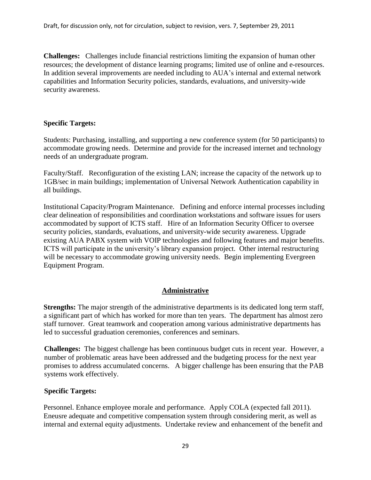**Challenges:** Challenges include financial restrictions limiting the expansion of human other resources; the development of distance learning programs; limited use of online and e-resources. In addition several improvements are needed including to AUA's internal and external network capabilities and Information Security policies, standards, evaluations, and university-wide security awareness.

#### **Specific Targets:**

Students: Purchasing, installing, and supporting a new conference system (for 50 participants) to accommodate growing needs. Determine and provide for the increased internet and technology needs of an undergraduate program.

Faculty/Staff. Reconfiguration of the existing LAN; increase the capacity of the network up to 1GB/sec in main buildings; implementation of Universal Network Authentication capability in all buildings.

Institutional Capacity/Program Maintenance. Defining and enforce internal processes including clear delineation of responsibilities and coordination workstations and software issues for users accommodated by support of ICTS staff. Hire of an Information Security Officer to oversee security policies, standards, evaluations, and university-wide security awareness. Upgrade existing AUA PABX system with VOIP technologies and following features and major benefits. ICTS will participate in the university's library expansion project. Other internal restructuring will be necessary to accommodate growing university needs. Begin implementing Evergreen Equipment Program.

#### **Administrative**

**Strengths:** The major strength of the administrative departments is its dedicated long term staff, a significant part of which has worked for more than ten years. The department has almost zero staff turnover. Great teamwork and cooperation among various administrative departments has led to successful graduation ceremonies, conferences and seminars.

**Challenges:** The biggest challenge has been continuous budget cuts in recent year. However, a number of problematic areas have been addressed and the budgeting process for the next year promises to address accumulated concerns. A bigger challenge has been ensuring that the PAB systems work effectively.

#### **Specific Targets:**

Personnel. Enhance employee morale and performance. Apply COLA (expected fall 2011). Eneusre adequate and competitive compensation system through considering merit, as well as internal and external equity adjustments. Undertake review and enhancement of the benefit and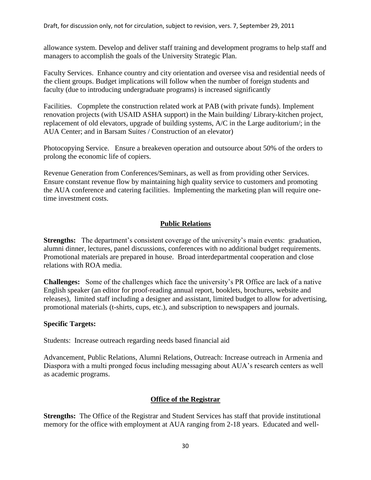allowance system. Develop and deliver staff training and development programs to help staff and managers to accomplish the goals of the University Strategic Plan.

Faculty Services. Enhance country and city orientation and oversee visa and residential needs of the client groups. Budget implications will follow when the number of foreign students and faculty (due to introducing undergraduate programs) is increased significantly

Facilities. Copmplete the construction related work at PAB (with private funds). Implement renovation projects (with USAID ASHA support) in the Main building/ Library-kitchen project, replacement of old elevators, upgrade of building systems, A/C in the Large auditorium/; in the AUA Center; and in Barsam Suites / Construction of an elevator)

Photocopying Service. Ensure a breakeven operation and outsource about 50% of the orders to prolong the economic life of copiers.

Revenue Generation from Conferences/Seminars, as well as from providing other Services. Ensure constant revenue flow by maintaining high quality service to customers and promoting the AUA conference and catering facilities. Implementing the marketing plan will require onetime investment costs.

# **Public Relations**

**Strengths:** The department's consistent coverage of the university's main events: graduation, alumni dinner, lectures, panel discussions, conferences with no additional budget requirements. Promotional materials are prepared in house. Broad interdepartmental cooperation and close relations with ROA media.

**Challenges:** Some of the challenges which face the university's PR Office are lack of a native English speaker (an editor for proof-reading annual report, booklets, brochures, website and releases), limited staff including a designer and assistant, limited budget to allow for advertising, promotional materials (t-shirts, cups, etc.), and subscription to newspapers and journals.

# **Specific Targets:**

Students: Increase outreach regarding needs based financial aid

Advancement, Public Relations, Alumni Relations, Outreach: Increase outreach in Armenia and Diaspora with a multi pronged focus including messaging about AUA's research centers as well as academic programs.

# **Office of the Registrar**

**Strengths:** The Office of the Registrar and Student Services has staff that provide institutional memory for the office with employment at AUA ranging from 2-18 years. Educated and well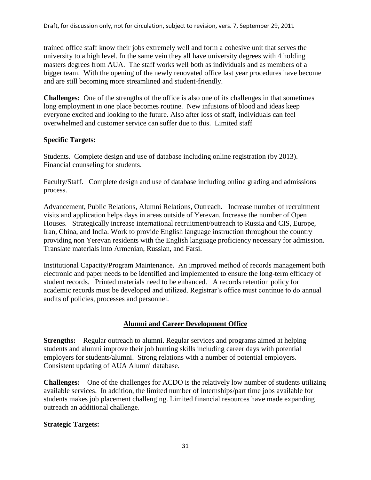trained office staff know their jobs extremely well and form a cohesive unit that serves the university to a high level. In the same vein they all have university degrees with 4 holding masters degrees from AUA. The staff works well both as individuals and as members of a bigger team. With the opening of the newly renovated office last year procedures have become and are still becoming more streamlined and student-friendly.

**Challenges:** One of the strengths of the office is also one of its challenges in that sometimes long employment in one place becomes routine. New infusions of blood and ideas keep everyone excited and looking to the future. Also after loss of staff, individuals can feel overwhelmed and customer service can suffer due to this. Limited staff

# **Specific Targets:**

Students. Complete design and use of database including online registration (by 2013). Financial counseling for students.

Faculty/Staff. Complete design and use of database including online grading and admissions process.

Advancement, Public Relations, Alumni Relations, Outreach. Increase number of recruitment visits and application helps days in areas outside of Yerevan. Increase the number of Open Houses. Strategically increase international recruitment/outreach to Russia and CIS, Europe, Iran, China, and India. Work to provide English language instruction throughout the country providing non Yerevan residents with the English language proficiency necessary for admission. Translate materials into Armenian, Russian, and Farsi.

Institutional Capacity/Program Maintenance. An improved method of records management both electronic and paper needs to be identified and implemented to ensure the long-term efficacy of student records. Printed materials need to be enhanced. A records retention policy for academic records must be developed and utilized. Registrar's office must continue to do annual audits of policies, processes and personnel.

# **Alumni and Career Development Office**

**Strengths:** Regular outreach to alumni. Regular services and programs aimed at helping students and alumni improve their job hunting skills including career days with potential employers for students/alumni. Strong relations with a number of potential employers. Consistent updating of AUA Alumni database.

**Challenges:** One of the challenges for ACDO is the relatively low number of students utilizing available services. In addition, the limited number of internships/part time jobs available for students makes job placement challenging. Limited financial resources have made expanding outreach an additional challenge.

# **Strategic Targets:**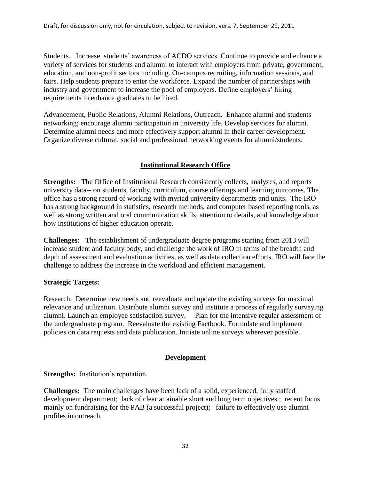Students. Increase students' awareness of ACDO services. Continue to provide and enhance a variety of services for students and alumni to interact with employers from private, government, education, and non-profit sectors including. On-campus recruiting, information sessions, and fairs. Help students prepare to enter the workforce. Expand the number of partnerships with industry and government to increase the pool of employers. Define employers' hiring requirements to enhance graduates to be hired.

Advancement, Public Relations, Alumni Relations, Outreach. Enhance alumni and students networking; encourage alumni participation in university life. Develop services for alumni. Determine alumni needs and more effectively support alumni in their career development. Organize diverse cultural, social and professional networking events for alumni/students.

# **Institutional Research Office**

**Strengths:** The Office of Institutional Research consistently collects, analyzes, and reports university data-- on students, faculty, curriculum, course offerings and learning outcomes. The office has a strong record of working with myriad university departments and units. The IRO has a strong background in statistics, research methods, and computer based reporting tools, as well as strong written and oral communication skills, attention to details, and knowledge about how institutions of higher education operate.

**Challenges:** The establishment of undergraduate degree programs starting from 2013 will increase student and faculty body, and challenge the work of IRO in terms of the breadth and depth of assessment and evaluation activities, as well as data collection efforts. IRO will face the challenge to address the increase in the workload and efficient management.

#### **Strategic Targets:**

Research. Determine new needs and reevaluate and update the existing surveys for maximal relevance and utilization. Distribute alumni survey and institute a process of regularly surveying alumni. Launch an employee satisfaction survey. Plan for the intensive regular assessment of the undergraduate program. Reevaluate the existing Factbook. Formulate and implement policies on data requests and data publication. Initiate online surveys wherever possible.

#### **Development**

**Strengths:** Institution's reputation.

**Challenges:** The main challenges have been lack of a solid, experienced, fully staffed development department; lack of clear attainable short and long term objectives ; recent focus mainly on fundraising for the PAB (a successful project); failure to effectively use alumni profiles in outreach.